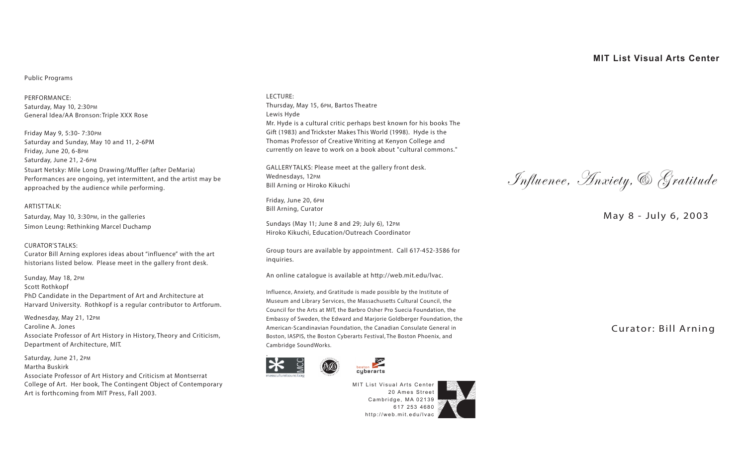# **MIT List Visual Arts Center**

## **Public Programs**

PERFORMANCE: Saturday, May 10, 2:30PM General Idea/AA Bronson: Triple XXX Rose

Friday May 9, 5:30- 7:30PM Saturday and Sunday, May 10 and 11, 2-6PM Friday, June 20, 6-8PM Saturday, June 21, 2-6PM Stuart Netsky: Mile Long Drawing/Muffler (after DeMaria) Performances are ongoing, yet intermittent, and the artist may be approached by the audience while performing.

ARTIST TALK: Saturday, May 10, 3:30PM, in the galleries Simon Leung: Rethinking Marcel Duchamp

### CURATOR'S TALKS:

Curator Bill Arning explores ideas about "influence" with the art historians listed below. Please meet in the gallery front desk.

Sunday, May 18, 2PM Scott Rothkopf PhD Candidate in the Department of Art and Architecture at Harvard University. Rothkopf is a regular contributor to Artforum.

Wednesday, May 21, 12PM Caroline A. Jones Associate Professor of Art History in History, Theory and Criticism, Department of Architecture, MIT.

Saturday, June 21, 2PM Martha Buskirk Associate Professor of Art History and Criticism at Montserrat College of Art. Her book, The Contingent Object of Contemporary Art is forthcoming from MIT Press, Fall 2003.

#### LECTURE:

Thursday, May 15, 6PM, Bartos Theatre Lewis Hyde Mr. Hyde is a cultural critic perhaps best known for his books The Gift (1983) and Trickster Makes This World (1998). Hyde is the Thomas Professor of Creative Writing at Kenyon College and currently on leave to work on a book about "cultural commons."

GALLERY TALKS: Please meet at the gallery front desk. Wednesdays, 12PM Bill Arning or Hiroko Kikuchi

Friday, June 20, 6PM Bill Arning, Curator

Sundays (May 11; June 8 and 29; July 6), 12PM Hiroko Kikuchi, Education/Outreach Coordinator

Group tours are available by appointment. [Call 617-452-3586](tel:6174523586) for inquiries.

An online catalogue is available at [http://web.mit.edu/lvac.](http://web.mit.edu/lvac) 

Influence, Anxiety, and Gratitude is made possible by the Institute of Museum and Library Services, the Massachusetts Cultural Council, the Council for the Arts at MIT, the Barbro Osher Pro Suecia Foundation, the Embassy of Sweden, the Edward and Marjorie Goldberger Foundation, the American-Scandinavian Foundation, the Canadian Consulate General in Boston, IASPIS, the Boston Cyberarts Festival, The Boston Phoenix, and Cambridge SoundWorks.



.



MIT List Visual Arts Center 20 Ames Street Cambridge, MA 02139 [617 253 4680](tel:6172534680) <http://web.mit.edu/lvac>

Influence, Anxiety,& Gratitude

May 8 - July 6, 2003

Curator: Bill Arning